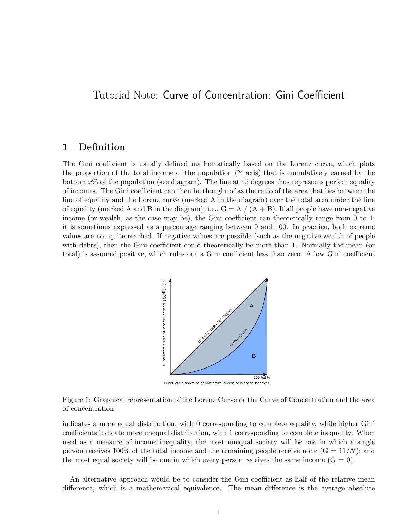## Tutorial Note: Curve of Concentration: Gini Coefficient

## 1 Definition

The Gini coefficient is usually defined mathematically based on the Lorenz curve, which plots the proportion of the total income of the population (Y axis) that is cumulatively earned by the bottom  $x\%$  of the population (see diagram). The line at 45 degrees thus represents perfect equality of incomes. The Gini coefficient can then be thought of as the ratio of the area that lies between the line of equality and the Lorenz curve (marked A in the diagram) over the total area under the line of equality (marked A and B in the diagram); i.e.,  $G = A / (A + B)$ . If all people have non-negative income (or wealth, as the case may be), the Gini coefficient can theoretically range from 0 to 1; it is sometimes expressed as a percentage ranging between 0 and 100. In practice, both extreme values are not quite reached. If negative values are possible (such as the negative wealth of people with debts), then the Gini coefficient could theoretically be more than 1. Normally the mean (or total) is assumed positive, which rules out a Gini coefficient less than zero. A low Gini coefficient



Figure 1: Graphical representation of the Lorenz Curve or the Curve of Concentration and the area of concentration

indicates a more equal distribution, with 0 corresponding to complete equality, while higher Gini coefficients indicate more unequal distribution, with 1 corresponding to complete inequality. When used as a measure of income inequality, the most unequal society will be one in which a single person receives 100% of the total income and the remaining people receive none  $(G = 11/N)$ ; and the most equal society will be one in which every person receives the same income  $(G = 0)$ .

An alternative approach would be to consider the Gini coefficient as half of the relative mean difference, which is a mathematical equivalence. The mean difference is the average absolute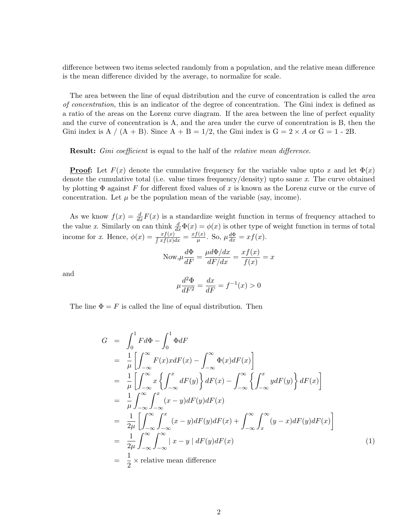difference between two items selected randomly from a population, and the relative mean difference is the mean difference divided by the average, to normalize for scale.

The area between the line of equal distribution and the curve of concentration is called the *area* of concentration, this is an indicator of the degree of concentration. The Gini index is defined as a ratio of the areas on the Lorenz curve diagram. If the area between the line of perfect equality and the curve of concentration is A, and the area under the curve of concentration is B, then the Gini index is A /  $(A + B)$ . Since  $A + B = 1/2$ , the Gini index is  $G = 2 \times A$  or  $G = 1 - 2B$ .

**Result:** Gini coefficient is equal to the half of the relative mean difference.

**Proof:** Let  $F(x)$  denote the cumulative frequency for the variable value upto x and let  $\Phi(x)$ denote the cumulative total (i.e. value times frequency/density) upto same x. The curve obtained by plotting  $\Phi$  against F for different fixed values of x is known as the Lorenz curve or the curve of concentration. Let  $\mu$  be the population mean of the variable (say, income).

As we know  $f(x) = \frac{d}{dx}F(x)$  is a standardize weight function in terms of frequency attached to the value x. Similarly on can think  $\frac{d}{dx}\Phi(x) = \phi(x)$  is other type of weight function in terms of total income for x. Hence,  $\phi(x) = \frac{xf(x)}{\int x f(x) dx} = \frac{xf(x)}{\mu}$  $\frac{f(x)}{\mu}$ . So,  $\mu \frac{d\Phi}{dx} = xf(x)$ .

Now, 
$$
\mu \frac{d\Phi}{dF} = \frac{\mu d\Phi/dx}{dF/dx} = \frac{xf(x)}{f(x)} = x
$$

and

$$
\mu \frac{d^2 \Phi}{dF^2} = \frac{dx}{dF} = f^{-1}(x) > 0
$$

The line  $\Phi = F$  is called the line of equal distribution. Then

$$
G = \int_0^1 F d\Phi - \int_0^1 \Phi dF
$$
  
\n
$$
= \frac{1}{\mu} \left[ \int_{-\infty}^{\infty} F(x) x dF(x) - \int_{-\infty}^{\infty} \Phi(x) dF(x) \right]
$$
  
\n
$$
= \frac{1}{\mu} \left[ \int_{-\infty}^{\infty} x \left\{ \int_{-\infty}^x dF(y) \right\} dF(x) - \int_{-\infty}^{\infty} \left\{ \int_{-\infty}^x y dF(y) \right\} dF(x) \right]
$$
  
\n
$$
= \frac{1}{\mu} \int_{-\infty}^{\infty} \int_{-\infty}^x (x - y) dF(y) dF(x)
$$
  
\n
$$
= \frac{1}{2\mu} \left[ \int_{-\infty}^{\infty} \int_{-\infty}^x (x - y) dF(y) dF(x) + \int_{-\infty}^{\infty} \int_x^{\infty} (y - x) dF(y) dF(x) \right]
$$
  
\n
$$
= \frac{1}{2\mu} \int_{-\infty}^{\infty} \int_{-\infty}^{\infty} |x - y| dF(y) dF(x)
$$
  
\n
$$
= \frac{1}{2} \times \text{relative mean difference}
$$
 (1)